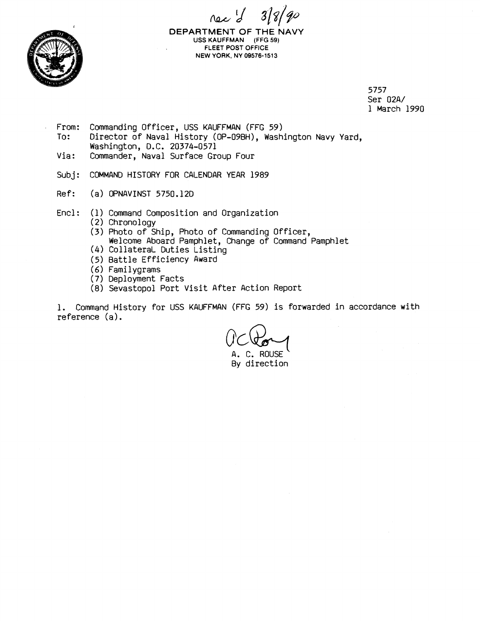nec d' 3/8/90



**DEPARTMENT** OF THE NAVY USS **KAUFFMAN (FFG 59) FLEET POST OFFICE NEW YORK, NY 09576-1513** 

> 5757 Ser 02A/ 1 March 1990

- From: Commanding Officer, USS KAUFFMAN (FFG 59)<br>To: Director of Naval History (OP-09BH), Wash Director of Naval History (OP-09BH), Washington Navy Yard, Washington, D.C. 20374-0571
- Via: Commander, Naval Surface Group Four
- Subj: COMMAND HISTORY FOR CALENDAR YEAR 1989
- Ref: (a) OPNAVINST 5750.120
- Encl: (1) Command Composition and Organization
	- (2) Chronology
	- (3) Photo of Ship, Photo of Commanding Officer, Welcome Aboard Pamphlet, Change of Command Pamphlet *(4)* CollateraL Duties Listing
	-
	- (5) Battle Efficiency Award
	- *(6)* Familygrams
	- (7) Deployment Facts
	- (8) Sevastopol Port Visit After Action Report

1. Command History for USS KAUFFMAN (FFG 59) is forwarded in accordance with reference (a).

A. C. ROUSE

By direction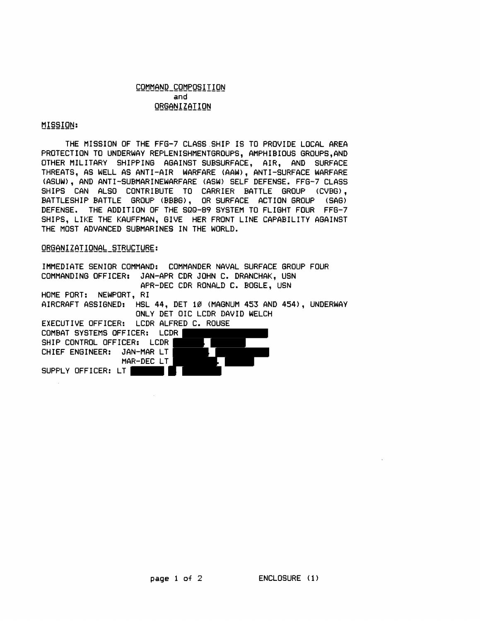## COMMAND COMPOSITION and ORGANIZATION

## MISSION:

THE MISSION OF THE FFG-7 CLASS SHIP IS TO PROVIDE LOCAL AREA PROTECTION TO UNDERWAY REPLENISHMENTGROUPS, AMPHIBIOUS GROUPS,AND OTHER MILITARY SHIPPING AGAINST SUBSURFACE, AIR, AND SURFACE THREATS, AS WELL AS ANTI-AIR WARFARE (AAW), ANTI-SURFACE WARFARE (ASUW), AND ANTI-SUEMARINEWARFARE (ASH) SELF DEFENSE. FFG-7 CLASS SHIPS CAN ALSO CONTRIBUTE TO CARRIER BATTLE GROUP (CVEG), BATTLESHIP BATTLE GROUP (BBBG), OR SURFACE ACTION GROUP (SAG) DEFENSE. THE ADDITION OF THE SQQ-89 SYSTEM TO FLIGHT FOUR FFG-7 SHIPS, LIKE THE KAUFFMAN, GIVE HER FRONT LINE CAPABILITY AGAINST THE MOST ADVANCED SUBMARINES IN THE WORLD.

## ORGANIZATIONAL STRUCTURE:

IMMEDIATE SENIOR COMMAND: COMMANDER NAVAL SURFACE GROUP FOUR COMMANDING OFFICER: JAN-APR CDR JOHN C. DRANCHAE, USN APR-DEC CDR RONALD C. EOGLE, USN HOME PORT: NEWPORT, RI AIRCRAFT ASSIGNED: HSL 44, DET 10 (MAGNUM 453 AND 454), UNDERWAY ONLY DET OIC LCDR DAVID WELCH EXECUTIVE OFFICER: LCDR ALFRED C. ROUSE COMBAT SYSTEMS OFFICER: LCDR SHIP CONTROL OFFICER: LCDR CHIEF ENGINEER: JAN-MAR LT MAR-DEC LT SUPPLY OFFICER: LT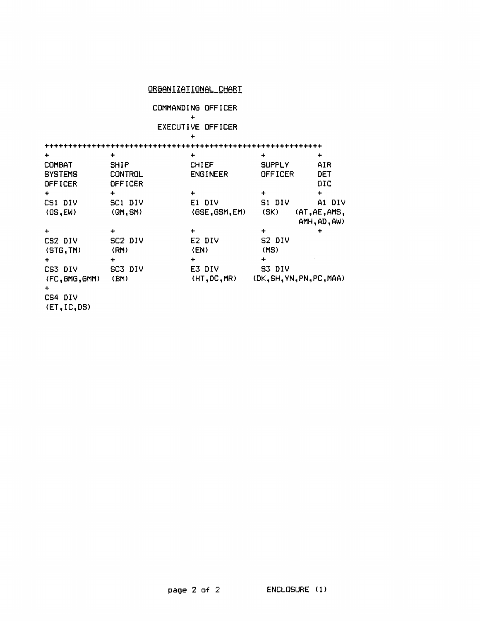## ORGANIZATIONAL\_CHART

**COMMANDING OFFICER** 

+ **EXECUTIVE OFFICER** 

+ ...........................................................

| $\ddot{}$                   |                     | +               |                           | ÷             |
|-----------------------------|---------------------|-----------------|---------------------------|---------------|
| COMBAT                      | <b>SHIP</b>         | <b>CHIEF</b>    | <b>SUPPLY</b>             | AIR           |
| <b>SYSTEMS</b>              | <b>CONTROL</b>      | <b>ENGINEER</b> | <b>OFFICER</b>            | <b>DET</b>    |
| OFFICER                     | OFFICER             |                 |                           | <b>DIC</b>    |
| $\ddot{}$                   | ٠                   | ٠               | $\div$                    | $\ddot{}$     |
| CS1 DIV                     | SC1 DIV             | E1 DIV          | S1 DIV                    | A1 DIV        |
| (OS, EW)                    | (QM, SM)            | (GSE, GSM, EM)  | (SK)                      | (AT, AE, AMS, |
|                             |                     |                 |                           | AMH, AD, AW)  |
| $\ddot{}$                   |                     | ٠               | +                         | ٠             |
| CS2 DIV                     | SC <sub>2</sub> DIV | E2 DIV          | S2 DIV                    |               |
| (STG, TM)                   | (RM)                | (EN)            | (MS)                      |               |
| $\ddotmark$                 | $\ddot{}$           | ٠               | ┿                         |               |
| CS3 DIV                     | SC3 DIV             | E3 DIV          | S3 DIV                    |               |
| (FC, GMG, GMM)<br>$\ddot{}$ | (BM)                | (HT, DC, MR)    | (DK, SH, YN, PN, PC, MAA) |               |
| CS4 DIV                     |                     |                 |                           |               |
|                             |                     |                 |                           |               |

**(ET,IC,DS)**